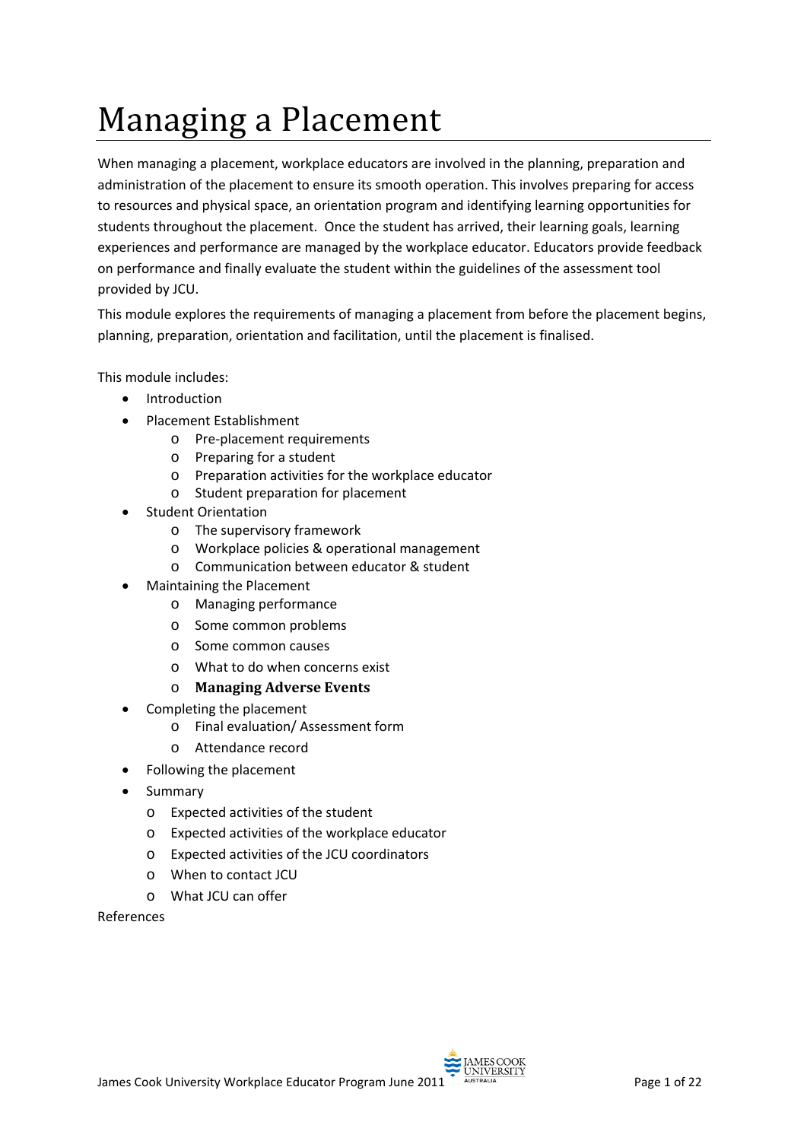# Managing a Placement

When managing a placement, workplace educators are involved in the planning, preparation and administration of the placement to ensure its smooth operation. This involves preparing for access to resources and physical space, an orientation program and identifying learning opportunities for students throughout the placement. Once the student has arrived, their learning goals, learning experiences and performance are managed by the workplace educator. Educators provide feedback on performance and finally evaluate the student within the guidelines of the assessment tool provided by JCU.

This module explores the requirements of managing a placement from before the placement begins, planning, preparation, orientation and facilitation, until the placement is finalised.

This module includes:

- Introduction
- Placement Establishment
	- o Pre-placement requirements
	- o Preparing for a student
	- o Preparation activities for the workplace educator
	- o Student preparation for placement
- Student Orientation
	- o The supervisory framework
	- o Workplace policies & operational management
	- o Communication between educator & student
- Maintaining the Placement
	- o Managing performance
	- o Some common problems
	- o Some common causes
	- o What to do when concerns exist
	- o **Managing Adverse Events**
	- Completing the placement
		- o Final evaluation/ Assessment form
		- o Attendance record
- Following the placement
- Summary
	- o Expected activities of the student
	- o Expected activities of the workplace educator
	- o Expected activities of the JCU coordinators
	- o When to contact JCU
	- o What JCU can offer

References

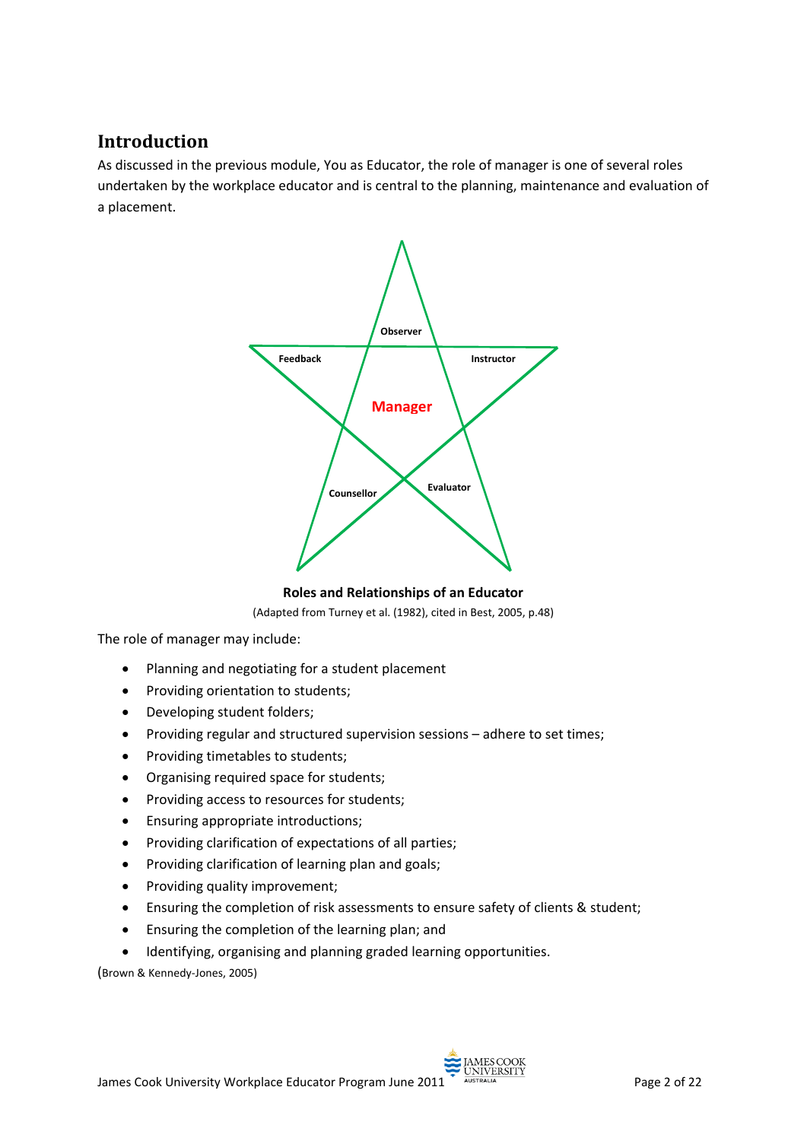# **Introduction**

As discussed in the previous module, You as Educator, the role of manager is one of several roles undertaken by the workplace educator and is central to the planning, maintenance and evaluation of a placement.



### **Roles and Relationships of an Educator**

(Adapted from Turney et al. (1982), cited in Best, 2005, p.48)

The role of manager may include:

- Planning and negotiating for a student placement
- Providing orientation to students;
- Developing student folders;
- Providing regular and structured supervision sessions adhere to set times;
- Providing timetables to students;
- Organising required space for students;
- Providing access to resources for students;
- Ensuring appropriate introductions;
- Providing clarification of expectations of all parties;
- Providing clarification of learning plan and goals;
- Providing quality improvement;
- Ensuring the completion of risk assessments to ensure safety of clients & student;
- Ensuring the completion of the learning plan; and
- Identifying, organising and planning graded learning opportunities.

(Brown & Kennedy-Jones, 2005)

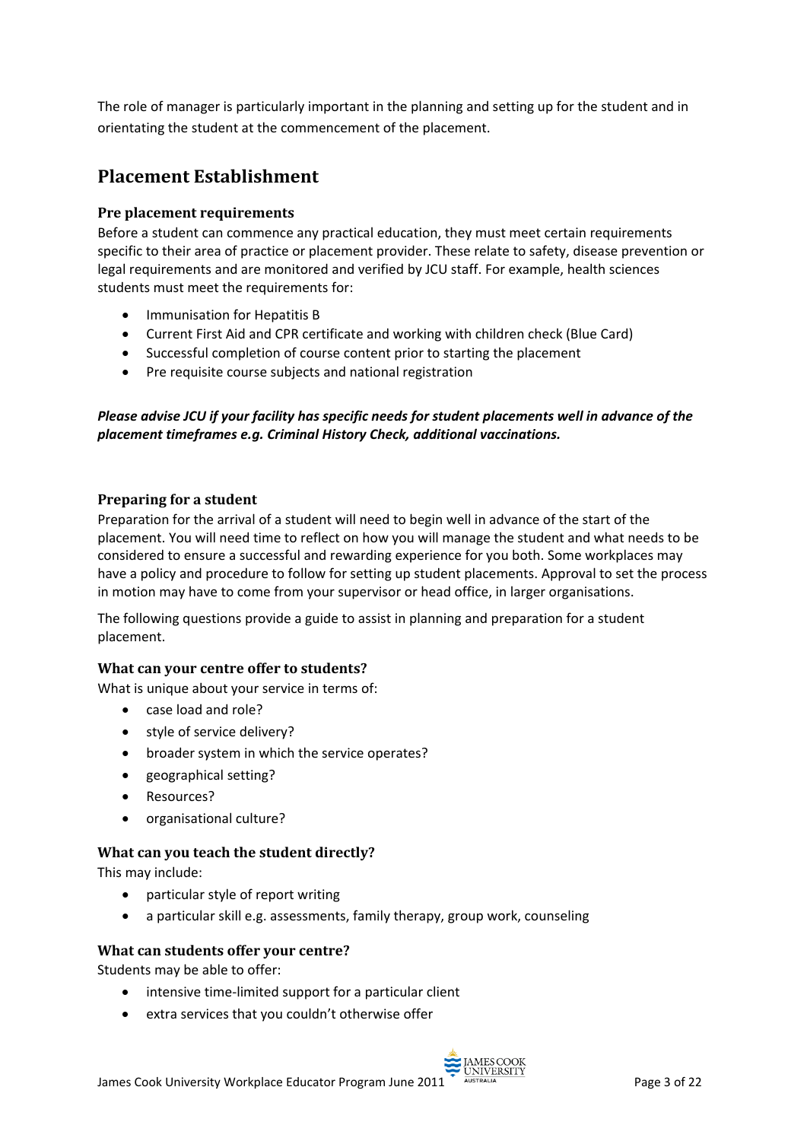The role of manager is particularly important in the planning and setting up for the student and in orientating the student at the commencement of the placement.

# **Placement Establishment**

### **Pre placement requirements**

Before a student can commence any practical education, they must meet certain requirements specific to their area of practice or placement provider. These relate to safety, disease prevention or legal requirements and are monitored and verified by JCU staff. For example, health sciences students must meet the requirements for:

- Immunisation for Hepatitis B
- Current First Aid and CPR certificate and working with children check (Blue Card)
- Successful completion of course content prior to starting the placement
- Pre requisite course subjects and national registration

### *Please advise JCU if your facility has specific needs for student placements well in advance of the placement timeframes e.g. Criminal History Check, additional vaccinations.*

### **Preparing for a student**

Preparation for the arrival of a student will need to begin well in advance of the start of the placement. You will need time to reflect on how you will manage the student and what needs to be considered to ensure a successful and rewarding experience for you both. Some workplaces may have a policy and procedure to follow for setting up student placements. Approval to set the process in motion may have to come from your supervisor or head office, in larger organisations.

The following questions provide a guide to assist in planning and preparation for a student placement.

### **What can your centre offer to students?**

What is unique about your service in terms of:

- case load and role?
- style of service delivery?
- broader system in which the service operates?
- geographical setting?
- Resources?
- organisational culture?

### **What can you teach the student directly?**

This may include:

- particular style of report writing
- a particular skill e.g. assessments, family therapy, group work, counseling

### **What can students offer your centre?**

Students may be able to offer:

- intensive time-limited support for a particular client
- extra services that you couldn't otherwise offer

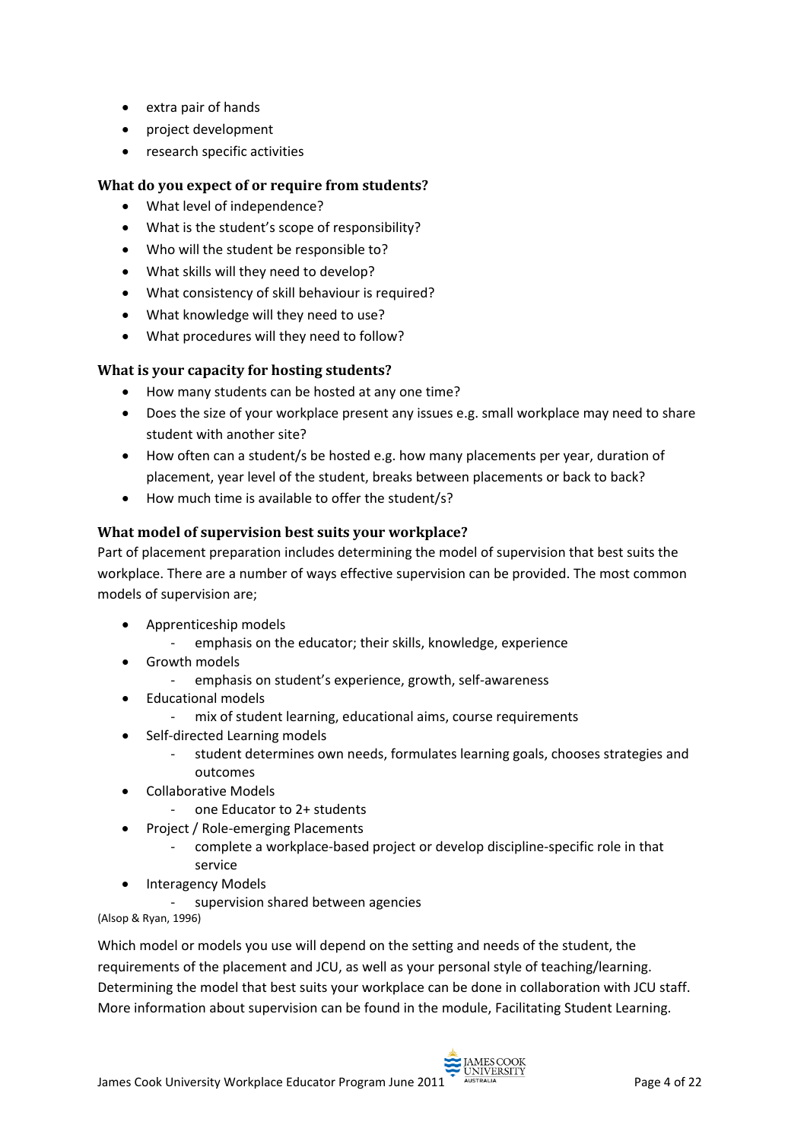- extra pair of hands
- project development
- research specific activities

### **What do you expect of or require from students?**

- What level of independence?
- What is the student's scope of responsibility?
- Who will the student be responsible to?
- What skills will they need to develop?
- What consistency of skill behaviour is required?
- What knowledge will they need to use?
- What procedures will they need to follow?

### **What is your capacity for hosting students?**

- How many students can be hosted at any one time?
- Does the size of your workplace present any issues e.g. small workplace may need to share student with another site?
- How often can a student/s be hosted e.g. how many placements per year, duration of placement, year level of the student, breaks between placements or back to back?
- How much time is available to offer the student/s?

### **What model of supervision best suits your workplace?**

Part of placement preparation includes determining the model of supervision that best suits the workplace. There are a number of ways effective supervision can be provided. The most common models of supervision are;

- Apprenticeship models
	- emphasis on the educator; their skills, knowledge, experience
- Growth models
	- emphasis on student's experience, growth, self-awareness
- Educational models
	- mix of student learning, educational aims, course requirements
- Self-directed Learning models
	- student determines own needs, formulates learning goals, chooses strategies and outcomes
- Collaborative Models
	- one Educator to 2+ students
	- Project / Role-emerging Placements
		- complete a workplace-based project or develop discipline-specific role in that service
- Interagency Models
	- supervision shared between agencies

(Alsop & Ryan, 1996)

Which model or models you use will depend on the setting and needs of the student, the requirements of the placement and JCU, as well as your personal style of teaching/learning. Determining the model that best suits your workplace can be done in collaboration with JCU staff. More information about supervision can be found in the module, Facilitating Student Learning.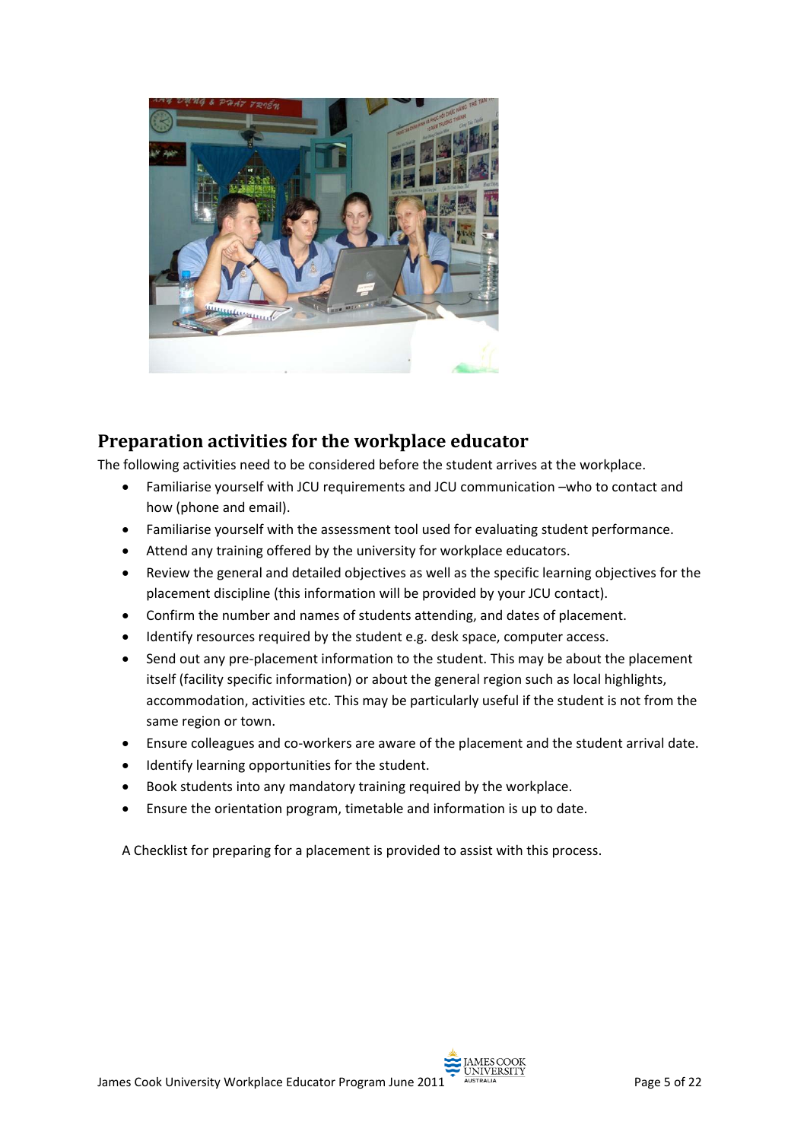

# **Preparation activities for the workplace educator**

The following activities need to be considered before the student arrives at the workplace.

- Familiarise yourself with JCU requirements and JCU communication –who to contact and how (phone and email).
- Familiarise yourself with the assessment tool used for evaluating student performance.
- Attend any training offered by the university for workplace educators.
- Review the general and detailed objectives as well as the specific learning objectives for the placement discipline (this information will be provided by your JCU contact).
- Confirm the number and names of students attending, and dates of placement.
- Identify resources required by the student e.g. desk space, computer access.
- Send out any pre-placement information to the student. This may be about the placement itself (facility specific information) or about the general region such as local highlights, accommodation, activities etc. This may be particularly useful if the student is not from the same region or town.
- Ensure colleagues and co-workers are aware of the placement and the student arrival date.
- Identify learning opportunities for the student.
- Book students into any mandatory training required by the workplace.
- Ensure the orientation program, timetable and information is up to date.

A Checklist for preparing for a placement is provided to assist with this process.

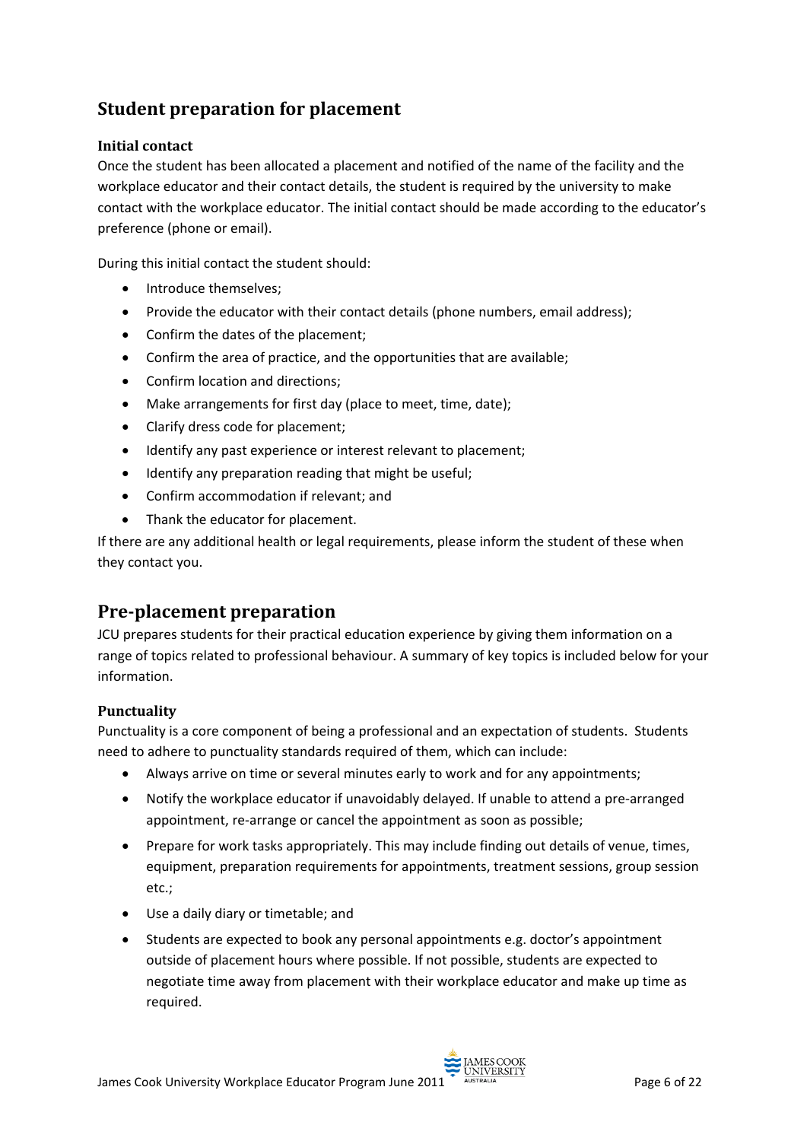# **Student preparation for placement**

### **Initial contact**

Once the student has been allocated a placement and notified of the name of the facility and the workplace educator and their contact details, the student is required by the university to make contact with the workplace educator. The initial contact should be made according to the educator's preference (phone or email).

During this initial contact the student should:

- Introduce themselves;
- Provide the educator with their contact details (phone numbers, email address);
- Confirm the dates of the placement;
- Confirm the area of practice, and the opportunities that are available;
- Confirm location and directions;
- Make arrangements for first day (place to meet, time, date);
- Clarify dress code for placement;
- Identify any past experience or interest relevant to placement;
- Identify any preparation reading that might be useful;
- Confirm accommodation if relevant; and
- Thank the educator for placement.

If there are any additional health or legal requirements, please inform the student of these when they contact you.

### **Pre-placement preparation**

JCU prepares students for their practical education experience by giving them information on a range of topics related to professional behaviour. A summary of key topics is included below for your information.

### **Punctuality**

Punctuality is a core component of being a professional and an expectation of students. Students need to adhere to punctuality standards required of them, which can include:

- Always arrive on time or several minutes early to work and for any appointments;
- Notify the workplace educator if unavoidably delayed. If unable to attend a pre-arranged appointment, re-arrange or cancel the appointment as soon as possible;
- Prepare for work tasks appropriately. This may include finding out details of venue, times, equipment, preparation requirements for appointments, treatment sessions, group session etc.;
- Use a daily diary or timetable; and
- Students are expected to book any personal appointments e.g. doctor's appointment outside of placement hours where possible. If not possible, students are expected to negotiate time away from placement with their workplace educator and make up time as required.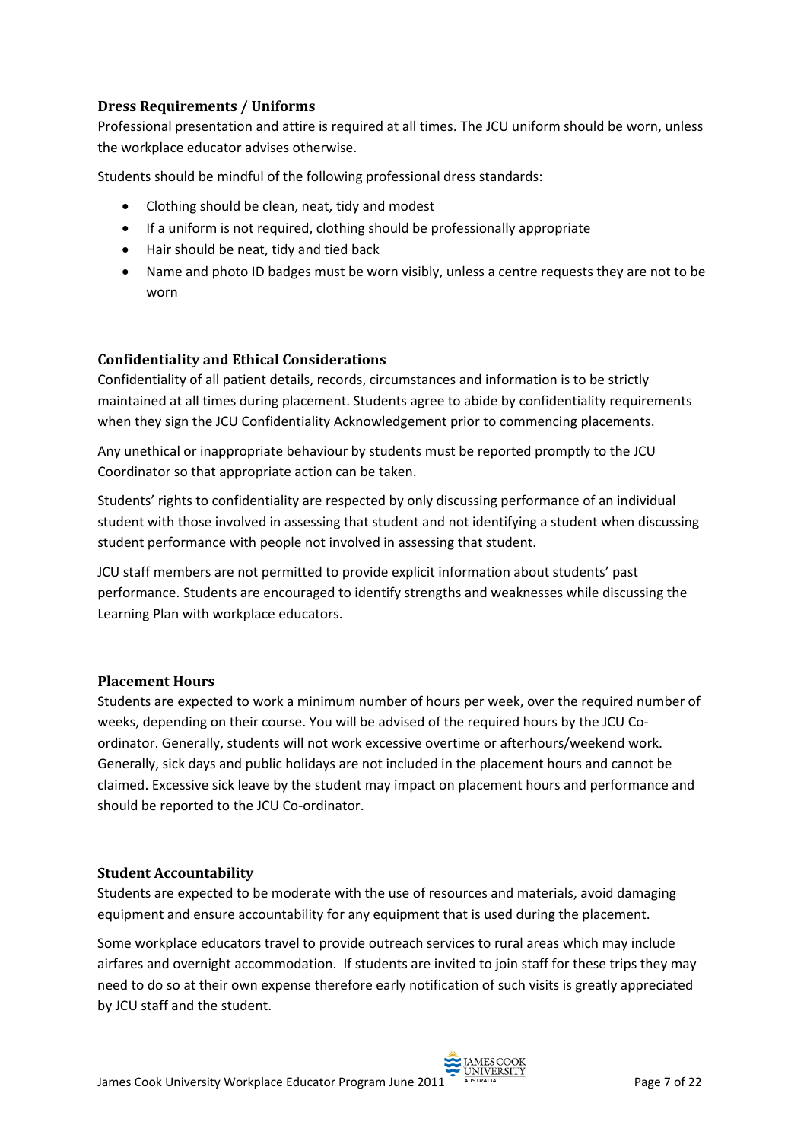### **Dress Requirements / Uniforms**

Professional presentation and attire is required at all times. The JCU uniform should be worn, unless the workplace educator advises otherwise.

Students should be mindful of the following professional dress standards:

- Clothing should be clean, neat, tidy and modest
- If a uniform is not required, clothing should be professionally appropriate
- Hair should be neat, tidy and tied back
- Name and photo ID badges must be worn visibly, unless a centre requests they are not to be worn

### **Confidentiality and Ethical Considerations**

Confidentiality of all patient details, records, circumstances and information is to be strictly maintained at all times during placement. Students agree to abide by confidentiality requirements when they sign the JCU Confidentiality Acknowledgement prior to commencing placements.

Any unethical or inappropriate behaviour by students must be reported promptly to the JCU Coordinator so that appropriate action can be taken.

Students' rights to confidentiality are respected by only discussing performance of an individual student with those involved in assessing that student and not identifying a student when discussing student performance with people not involved in assessing that student.

JCU staff members are not permitted to provide explicit information about students' past performance. Students are encouraged to identify strengths and weaknesses while discussing the Learning Plan with workplace educators.

### **Placement Hours**

Students are expected to work a minimum number of hours per week, over the required number of weeks, depending on their course. You will be advised of the required hours by the JCU Coordinator. Generally, students will not work excessive overtime or afterhours/weekend work. Generally, sick days and public holidays are not included in the placement hours and cannot be claimed. Excessive sick leave by the student may impact on placement hours and performance and should be reported to the JCU Co-ordinator.

### **Student Accountability**

Students are expected to be moderate with the use of resources and materials, avoid damaging equipment and ensure accountability for any equipment that is used during the placement.

Some workplace educators travel to provide outreach services to rural areas which may include airfares and overnight accommodation. If students are invited to join staff for these trips they may need to do so at their own expense therefore early notification of such visits is greatly appreciated by JCU staff and the student.

**E JAMES COOK**<br>UNIVERSITY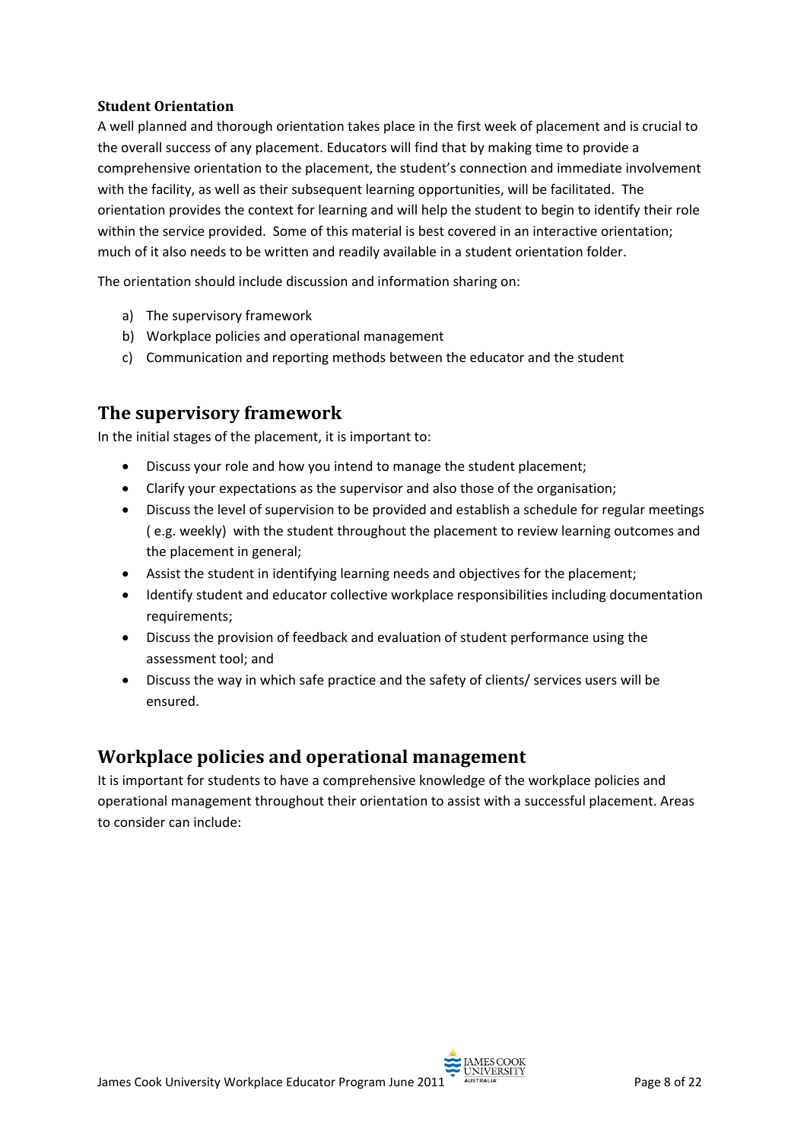### **Student Orientation**

A well planned and thorough orientation takes place in the first week of placement and is crucial to the overall success of any placement. Educators will find that by making time to provide a comprehensive orientation to the placement, the student's connection and immediate involvement with the facility, as well as their subsequent learning opportunities, will be facilitated. The orientation provides the context for learning and will help the student to begin to identify their role within the service provided. Some of this material is best covered in an interactive orientation; much of it also needs to be written and readily available in a student orientation folder.

The orientation should include discussion and information sharing on:

- a) The supervisory framework
- b) Workplace policies and operational management
- c) Communication and reporting methods between the educator and the student

## **The supervisory framework**

In the initial stages of the placement, it is important to:

- Discuss your role and how you intend to manage the student placement;
- Clarify your expectations as the supervisor and also those of the organisation;
- Discuss the level of supervision to be provided and establish a schedule for regular meetings ( e.g. weekly) with the student throughout the placement to review learning outcomes and the placement in general;
- Assist the student in identifying learning needs and objectives for the placement;
- Identify student and educator collective workplace responsibilities including documentation requirements;
- Discuss the provision of feedback and evaluation of student performance using the assessment tool; and
- Discuss the way in which safe practice and the safety of clients/ services users will be ensured.

### **Workplace policies and operational management**

It is important for students to have a comprehensive knowledge of the workplace policies and operational management throughout their orientation to assist with a successful placement. Areas to consider can include:

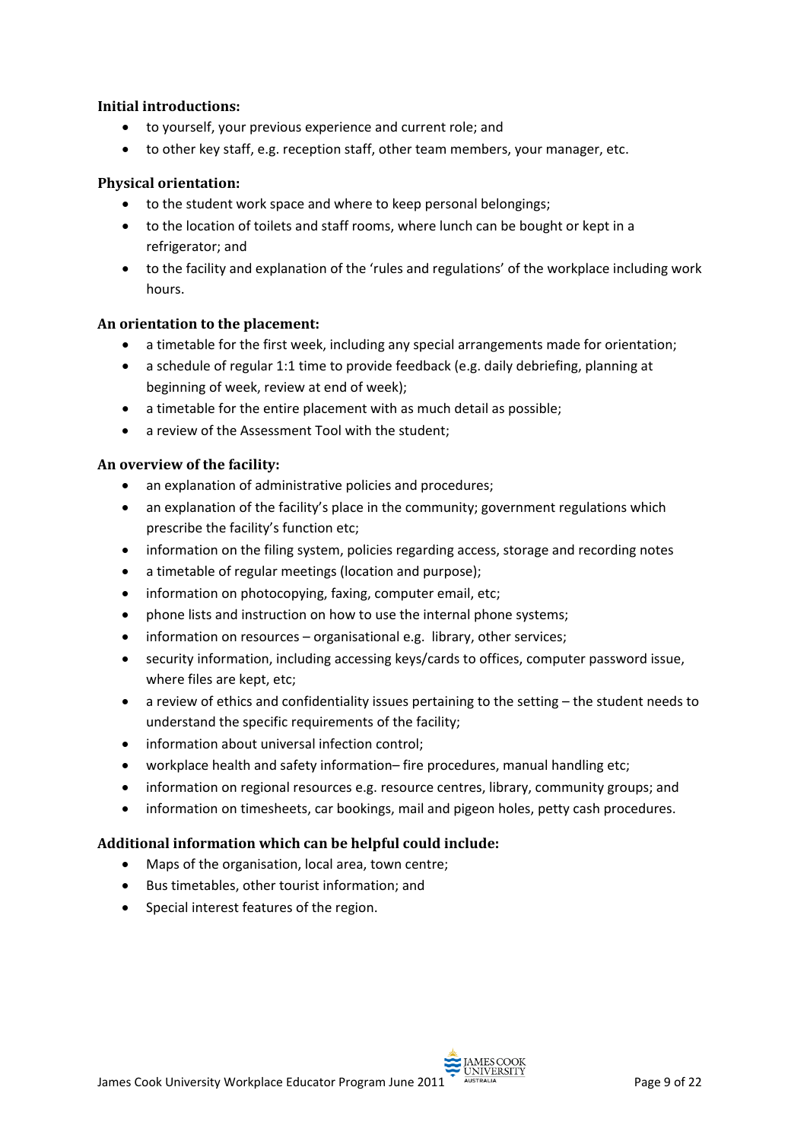### **Initial introductions:**

- to yourself, your previous experience and current role; and
- to other key staff, e.g. reception staff, other team members, your manager, etc.

### **Physical orientation:**

- to the student work space and where to keep personal belongings;
- to the location of toilets and staff rooms, where lunch can be bought or kept in a refrigerator; and
- to the facility and explanation of the 'rules and regulations' of the workplace including work hours.

### **An orientation to the placement:**

- a timetable for the first week, including any special arrangements made for orientation;
- a schedule of regular 1:1 time to provide feedback (e.g. daily debriefing, planning at beginning of week, review at end of week);
- a timetable for the entire placement with as much detail as possible;
- a review of the Assessment Tool with the student:

### **An overview of the facility:**

- an explanation of administrative policies and procedures;
- an explanation of the facility's place in the community; government regulations which prescribe the facility's function etc;
- information on the filing system, policies regarding access, storage and recording notes
- a timetable of regular meetings (location and purpose);
- information on photocopying, faxing, computer email, etc;
- phone lists and instruction on how to use the internal phone systems;
- information on resources organisational e.g. library, other services;
- security information, including accessing keys/cards to offices, computer password issue, where files are kept, etc;
- a review of ethics and confidentiality issues pertaining to the setting the student needs to understand the specific requirements of the facility;
- information about universal infection control;
- workplace health and safety information– fire procedures, manual handling etc;
- information on regional resources e.g. resource centres, library, community groups; and
- information on timesheets, car bookings, mail and pigeon holes, petty cash procedures.

### **Additional information which can be helpful could include:**

- Maps of the organisation, local area, town centre;
- Bus timetables, other tourist information; and
- Special interest features of the region.

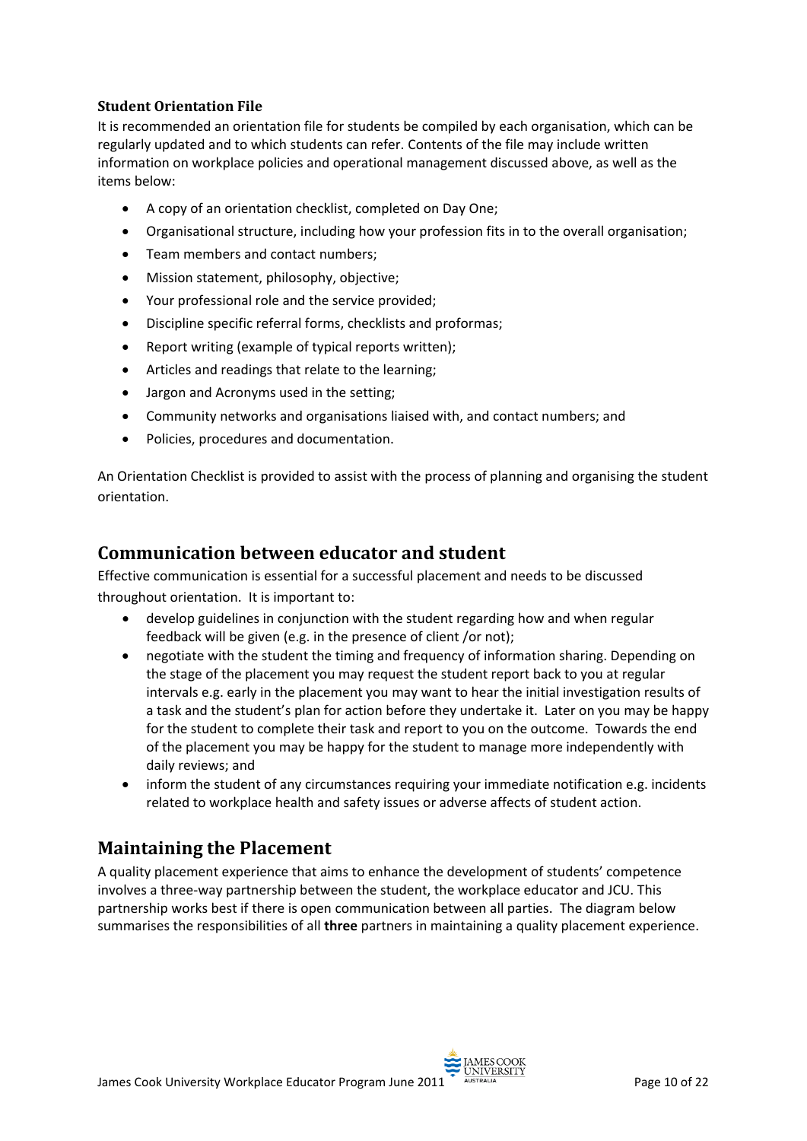### **Student Orientation File**

It is recommended an orientation file for students be compiled by each organisation, which can be regularly updated and to which students can refer. Contents of the file may include written information on workplace policies and operational management discussed above, as well as the items below:

- A copy of an orientation checklist, completed on Day One;
- Organisational structure, including how your profession fits in to the overall organisation;
- Team members and contact numbers;
- Mission statement, philosophy, objective;
- Your professional role and the service provided;
- Discipline specific referral forms, checklists and proformas;
- Report writing (example of typical reports written);
- Articles and readings that relate to the learning;
- Jargon and Acronyms used in the setting;
- Community networks and organisations liaised with, and contact numbers; and
- Policies, procedures and documentation.

An Orientation Checklist is provided to assist with the process of planning and organising the student orientation.

### **Communication between educator and student**

Effective communication is essential for a successful placement and needs to be discussed throughout orientation. It is important to:

- develop guidelines in conjunction with the student regarding how and when regular feedback will be given (e.g. in the presence of client /or not);
- negotiate with the student the timing and frequency of information sharing. Depending on the stage of the placement you may request the student report back to you at regular intervals e.g. early in the placement you may want to hear the initial investigation results of a task and the student's plan for action before they undertake it. Later on you may be happy for the student to complete their task and report to you on the outcome. Towards the end of the placement you may be happy for the student to manage more independently with daily reviews; and
- inform the student of any circumstances requiring your immediate notification e.g. incidents related to workplace health and safety issues or adverse affects of student action.

# **Maintaining the Placement**

A quality placement experience that aims to enhance the development of students' competence involves a three-way partnership between the student, the workplace educator and JCU. This partnership works best if there is open communication between all parties. The diagram below summarises the responsibilities of all **three** partners in maintaining a quality placement experience.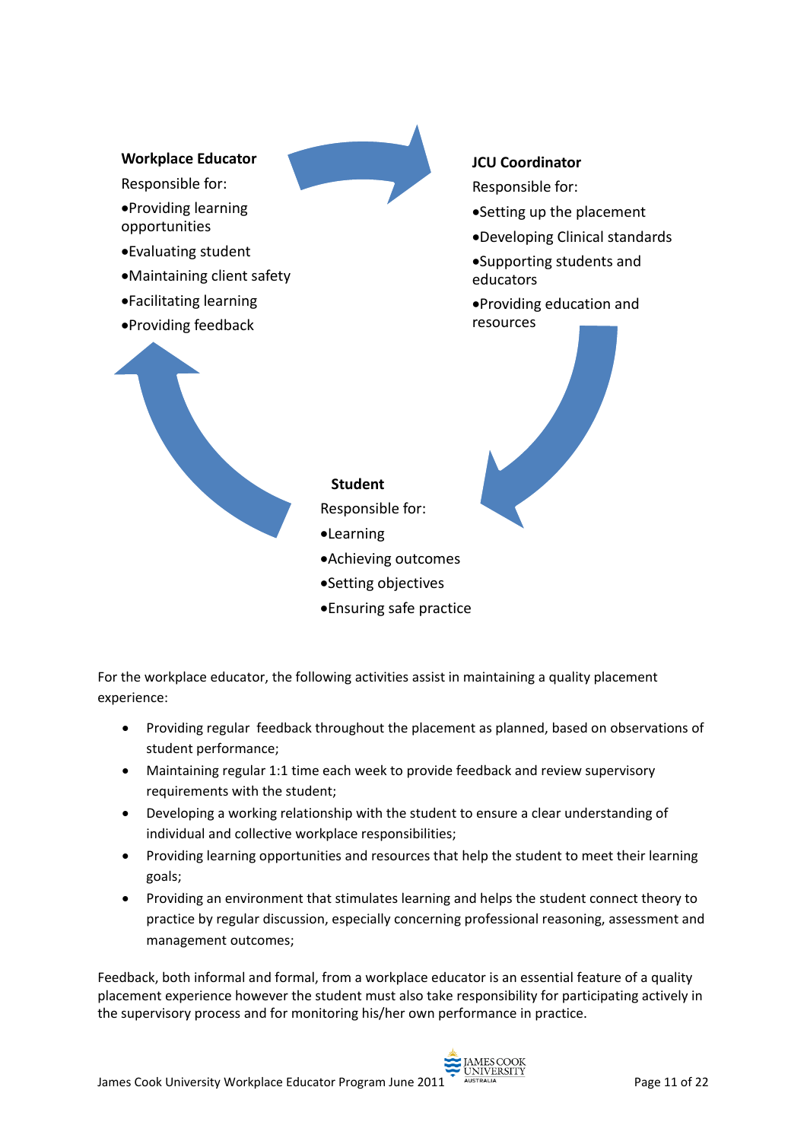### **Workplace Educator**

Responsible for:

- •Providing learning opportunities
- •Evaluating student
- •Maintaining client safety
- •Facilitating learning
- •Providing feedback



### **JCU Coordinator**

Responsible for:

- •Setting up the placement
- •Developing Clinical standards
- •Supporting students and educators

•Providing education and resources



### **Student**

Responsible for:

- •Learning
- •Achieving outcomes
- •Setting objectives
- •Ensuring safe practice

For the workplace educator, the following activities assist in maintaining a quality placement experience:

- Providing regular feedback throughout the placement as planned, based on observations of student performance;
- Maintaining regular 1:1 time each week to provide feedback and review supervisory requirements with the student;
- Developing a working relationship with the student to ensure a clear understanding of individual and collective workplace responsibilities;
- Providing learning opportunities and resources that help the student to meet their learning goals;
- Providing an environment that stimulates learning and helps the student connect theory to practice by regular discussion, especially concerning professional reasoning, assessment and management outcomes;

Feedback, both informal and formal, from a workplace educator is an essential feature of a quality placement experience however the student must also take responsibility for participating actively in the supervisory process and for monitoring his/her own performance in practice.

**IAMES COOK**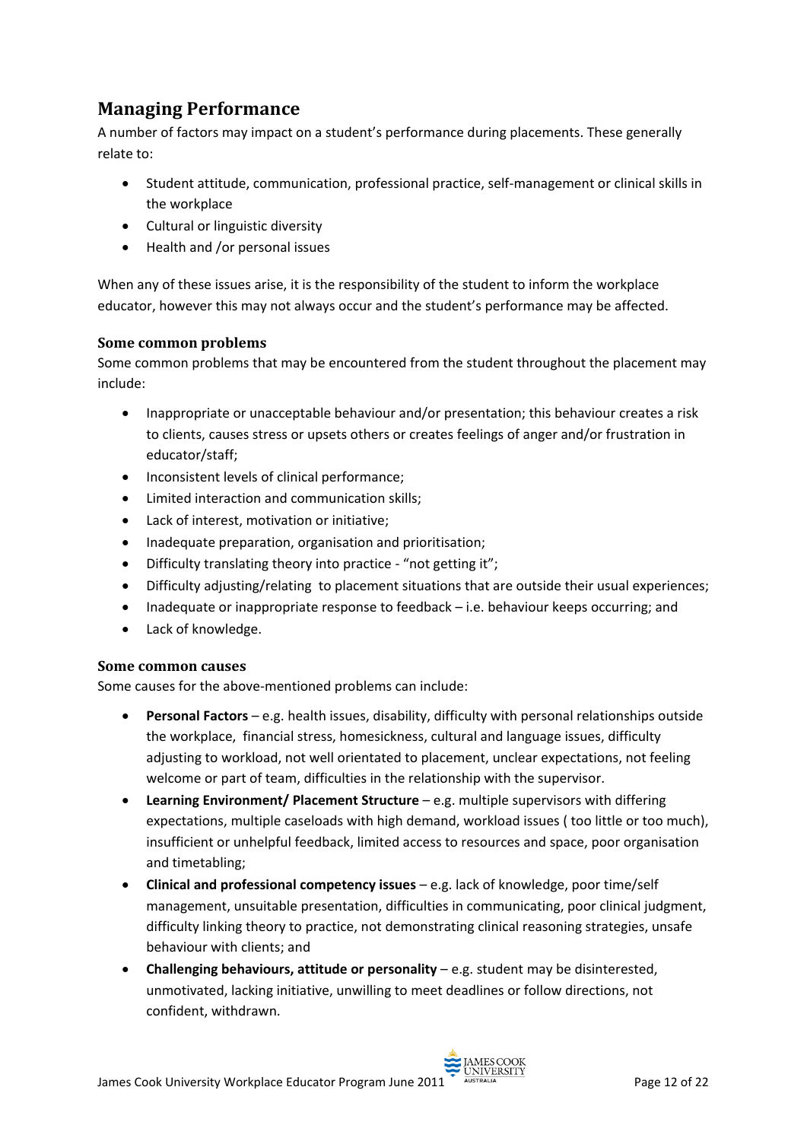# **Managing Performance**

A number of factors may impact on a student's performance during placements. These generally relate to:

- Student attitude, communication, professional practice, self-management or clinical skills in the workplace
- Cultural or linguistic diversity
- Health and /or personal issues

When any of these issues arise, it is the responsibility of the student to inform the workplace educator, however this may not always occur and the student's performance may be affected.

### **Some common problems**

Some common problems that may be encountered from the student throughout the placement may include:

- Inappropriate or unacceptable behaviour and/or presentation; this behaviour creates a risk to clients, causes stress or upsets others or creates feelings of anger and/or frustration in educator/staff;
- Inconsistent levels of clinical performance;
- Limited interaction and communication skills;
- Lack of interest, motivation or initiative;
- Inadequate preparation, organisation and prioritisation;
- Difficulty translating theory into practice "not getting it";
- Difficulty adjusting/relating to placement situations that are outside their usual experiences;
- Inadequate or inappropriate response to feedback i.e. behaviour keeps occurring; and
- Lack of knowledge.

### **Some common causes**

Some causes for the above-mentioned problems can include:

- **Personal Factors** e.g. health issues, disability, difficulty with personal relationships outside the workplace, financial stress, homesickness, cultural and language issues, difficulty adjusting to workload, not well orientated to placement, unclear expectations, not feeling welcome or part of team, difficulties in the relationship with the supervisor.
- **Learning Environment/ Placement Structure** e.g. multiple supervisors with differing expectations, multiple caseloads with high demand, workload issues ( too little or too much), insufficient or unhelpful feedback, limited access to resources and space, poor organisation and timetabling;
- **Clinical and professional competency issues** e.g. lack of knowledge, poor time/self management, unsuitable presentation, difficulties in communicating, poor clinical judgment, difficulty linking theory to practice, not demonstrating clinical reasoning strategies, unsafe behaviour with clients; and
- **Challenging behaviours, attitude or personality** e.g. student may be disinterested, unmotivated, lacking initiative, unwilling to meet deadlines or follow directions, not confident, withdrawn.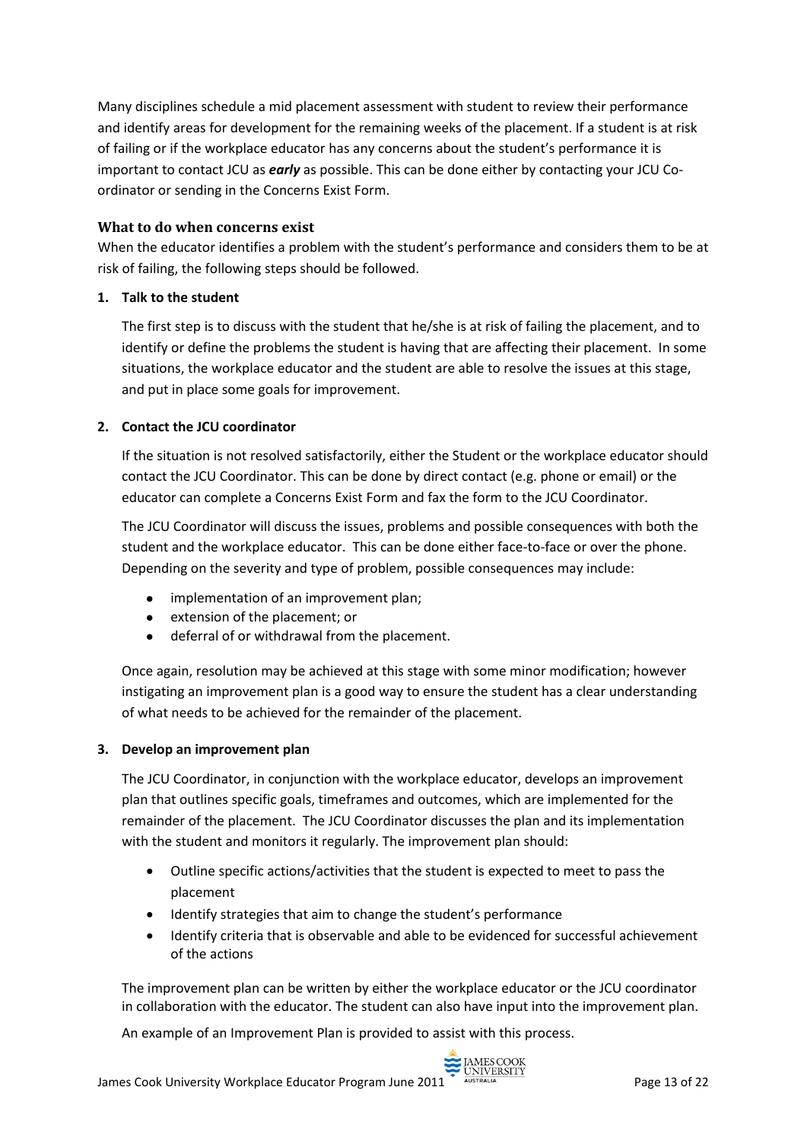Many disciplines schedule a mid placement assessment with student to review their performance and identify areas for development for the remaining weeks of the placement. If a student is at risk of failing or if the workplace educator has any concerns about the student's performance it is important to contact JCU as *early* as possible. This can be done either by contacting your JCU Coordinator or sending in the Concerns Exist Form.

### **What to do when concerns exist**

When the educator identifies a problem with the student's performance and considers them to be at risk of failing, the following steps should be followed.

### **1. Talk to the student**

The first step is to discuss with the student that he/she is at risk of failing the placement, and to identify or define the problems the student is having that are affecting their placement. In some situations, the workplace educator and the student are able to resolve the issues at this stage, and put in place some goals for improvement.

### **2. Contact the JCU coordinator**

If the situation is not resolved satisfactorily, either the Student or the workplace educator should contact the JCU Coordinator. This can be done by direct contact (e.g. phone or email) or the educator can complete a Concerns Exist Form and fax the form to the JCU Coordinator.

The JCU Coordinator will discuss the issues, problems and possible consequences with both the student and the workplace educator. This can be done either face-to-face or over the phone. Depending on the severity and type of problem, possible consequences may include:

- implementation of an improvement plan;
- extension of the placement; or
- deferral of or withdrawal from the placement.

Once again, resolution may be achieved at this stage with some minor modification; however instigating an improvement plan is a good way to ensure the student has a clear understanding of what needs to be achieved for the remainder of the placement.

### **3. Develop an improvement plan**

The JCU Coordinator, in conjunction with the workplace educator, develops an improvement plan that outlines specific goals, timeframes and outcomes, which are implemented for the remainder of the placement. The JCU Coordinator discusses the plan and its implementation with the student and monitors it regularly. The improvement plan should:

- Outline specific actions/activities that the student is expected to meet to pass the placement
- Identify strategies that aim to change the student's performance
- Identify criteria that is observable and able to be evidenced for successful achievement of the actions

The improvement plan can be written by either the workplace educator or the JCU coordinator in collaboration with the educator. The student can also have input into the improvement plan.

An example of an Improvement Plan is provided to assist with this process.

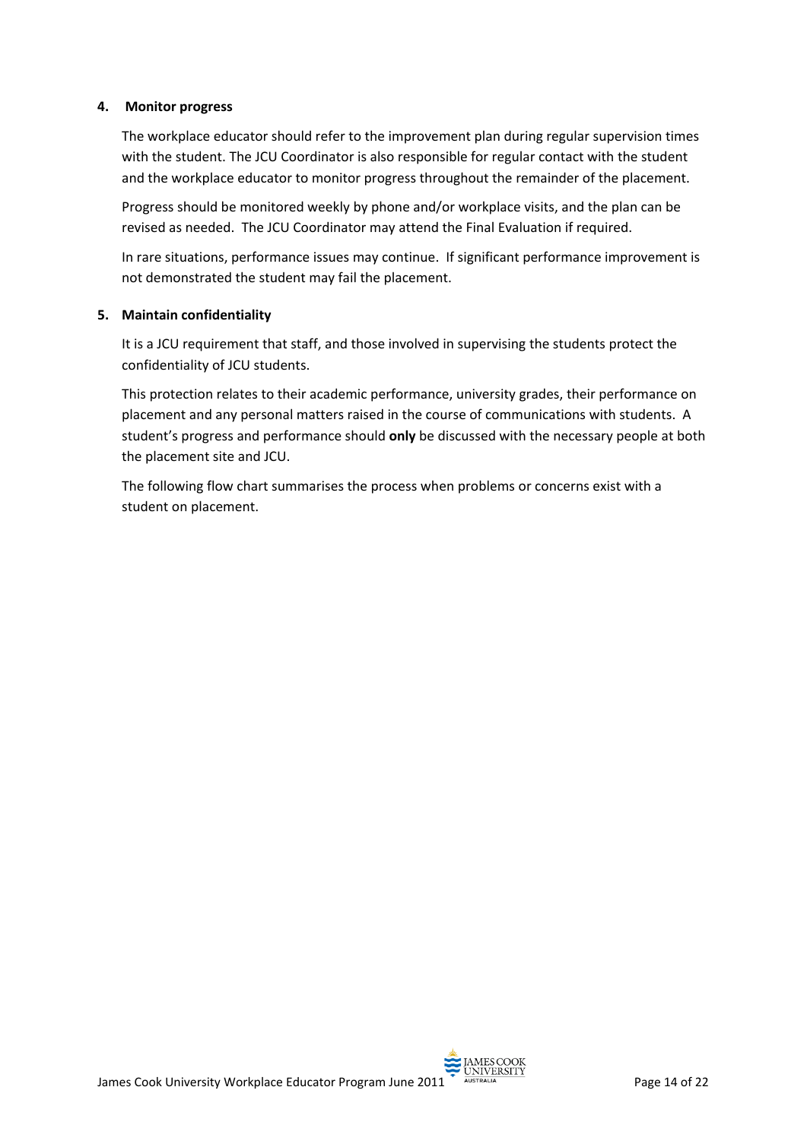### **4. Monitor progress**

The workplace educator should refer to the improvement plan during regular supervision times with the student. The JCU Coordinator is also responsible for regular contact with the student and the workplace educator to monitor progress throughout the remainder of the placement.

Progress should be monitored weekly by phone and/or workplace visits, and the plan can be revised as needed. The JCU Coordinator may attend the Final Evaluation if required.

In rare situations, performance issues may continue. If significant performance improvement is not demonstrated the student may fail the placement.

### **5. Maintain confidentiality**

It is a JCU requirement that staff, and those involved in supervising the students protect the confidentiality of JCU students.

This protection relates to their academic performance, university grades, their performance on placement and any personal matters raised in the course of communications with students. A student's progress and performance should **only** be discussed with the necessary people at both the placement site and JCU.

The following flow chart summarises the process when problems or concerns exist with a student on placement.

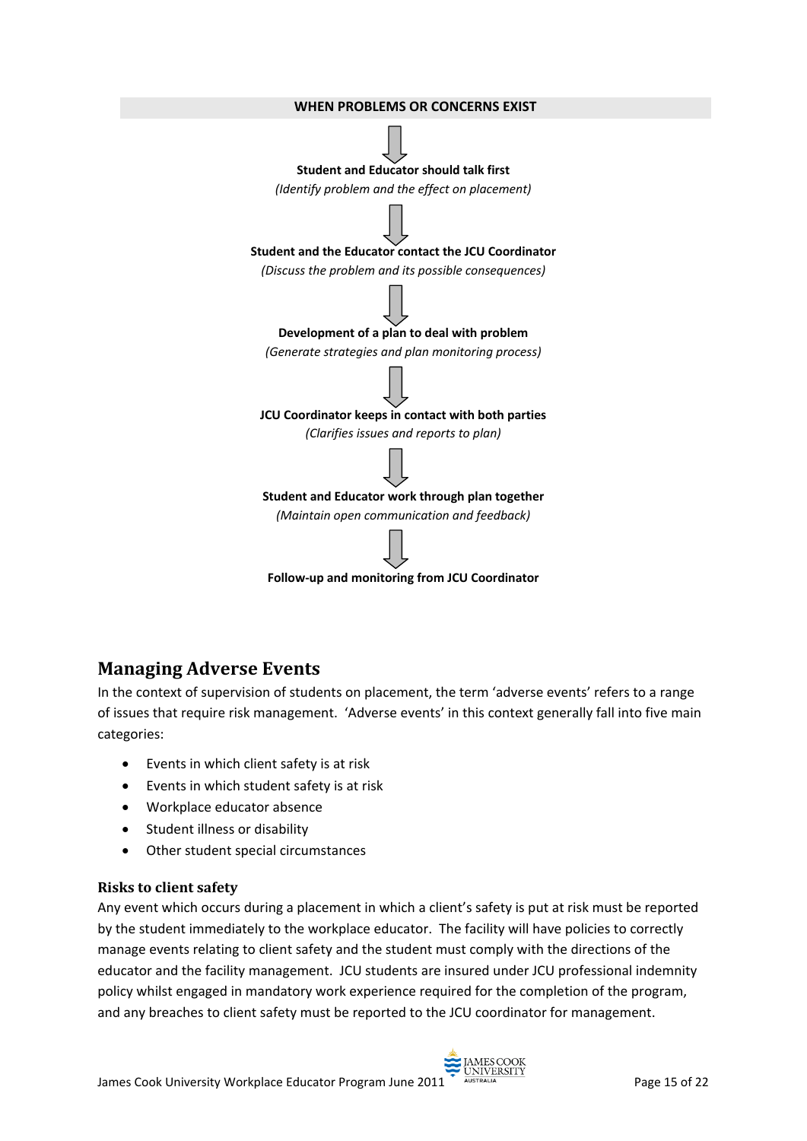

# **Managing Adverse Events**

In the context of supervision of students on placement, the term 'adverse events' refers to a range of issues that require risk management. 'Adverse events' in this context generally fall into five main categories:

- Events in which client safety is at risk
- Events in which student safety is at risk
- Workplace educator absence
- Student illness or disability
- Other student special circumstances

### **Risks to client safety**

Any event which occurs during a placement in which a client's safety is put at risk must be reported by the student immediately to the workplace educator. The facility will have policies to correctly manage events relating to client safety and the student must comply with the directions of the educator and the facility management. JCU students are insured under JCU professional indemnity policy whilst engaged in mandatory work experience required for the completion of the program, and any breaches to client safety must be reported to the JCU coordinator for management.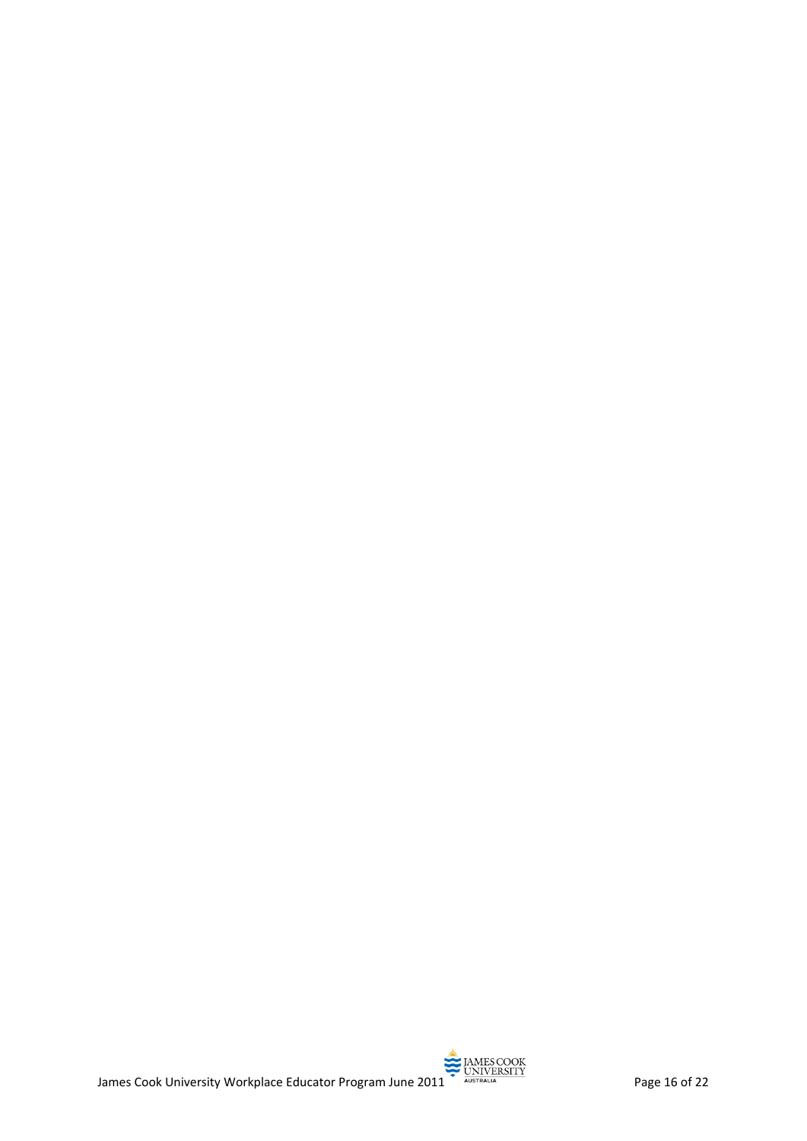

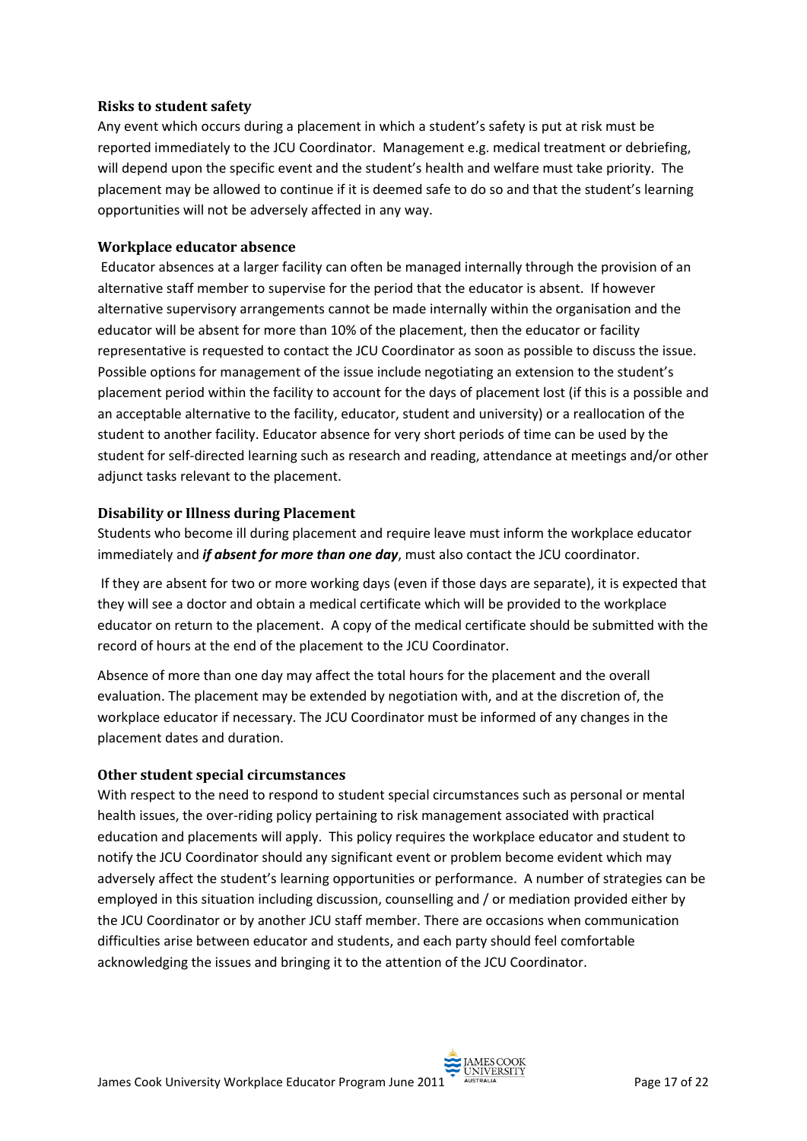### **Risks to student safety**

Any event which occurs during a placement in which a student's safety is put at risk must be reported immediately to the JCU Coordinator. Management e.g. medical treatment or debriefing, will depend upon the specific event and the student's health and welfare must take priority. The placement may be allowed to continue if it is deemed safe to do so and that the student's learning opportunities will not be adversely affected in any way.

### **Workplace educator absence**

Educator absences at a larger facility can often be managed internally through the provision of an alternative staff member to supervise for the period that the educator is absent. If however alternative supervisory arrangements cannot be made internally within the organisation and the educator will be absent for more than 10% of the placement, then the educator or facility representative is requested to contact the JCU Coordinator as soon as possible to discuss the issue. Possible options for management of the issue include negotiating an extension to the student's placement period within the facility to account for the days of placement lost (if this is a possible and an acceptable alternative to the facility, educator, student and university) or a reallocation of the student to another facility. Educator absence for very short periods of time can be used by the student for self-directed learning such as research and reading, attendance at meetings and/or other adjunct tasks relevant to the placement.

### **Disability or Illness during Placement**

Students who become ill during placement and require leave must inform the workplace educator immediately and *if absent for more than one day*, must also contact the JCU coordinator.

If they are absent for two or more working days (even if those days are separate), it is expected that they will see a doctor and obtain a medical certificate which will be provided to the workplace educator on return to the placement. A copy of the medical certificate should be submitted with the record of hours at the end of the placement to the JCU Coordinator.

Absence of more than one day may affect the total hours for the placement and the overall evaluation. The placement may be extended by negotiation with, and at the discretion of, the workplace educator if necessary. The JCU Coordinator must be informed of any changes in the placement dates and duration.

### **Other student special circumstances**

With respect to the need to respond to student special circumstances such as personal or mental health issues, the over-riding policy pertaining to risk management associated with practical education and placements will apply. This policy requires the workplace educator and student to notify the JCU Coordinator should any significant event or problem become evident which may adversely affect the student's learning opportunities or performance. A number of strategies can be employed in this situation including discussion, counselling and / or mediation provided either by the JCU Coordinator or by another JCU staff member. There are occasions when communication difficulties arise between educator and students, and each party should feel comfortable acknowledging the issues and bringing it to the attention of the JCU Coordinator.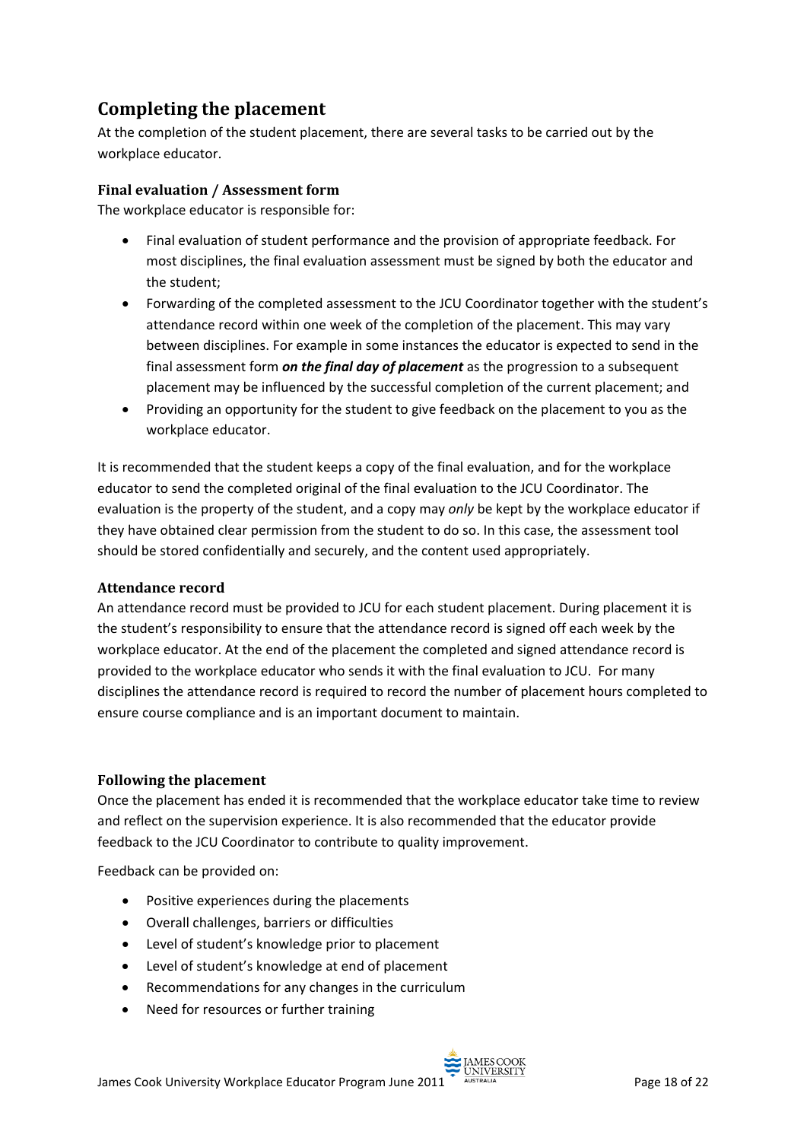# **Completing the placement**

At the completion of the student placement, there are several tasks to be carried out by the workplace educator.

### **Final evaluation / Assessment form**

The workplace educator is responsible for:

- Final evaluation of student performance and the provision of appropriate feedback. For most disciplines, the final evaluation assessment must be signed by both the educator and the student;
- Forwarding of the completed assessment to the JCU Coordinator together with the student's attendance record within one week of the completion of the placement. This may vary between disciplines. For example in some instances the educator is expected to send in the final assessment form *on the final day of placement* as the progression to a subsequent placement may be influenced by the successful completion of the current placement; and
- Providing an opportunity for the student to give feedback on the placement to you as the workplace educator.

It is recommended that the student keeps a copy of the final evaluation, and for the workplace educator to send the completed original of the final evaluation to the JCU Coordinator. The evaluation is the property of the student, and a copy may *only* be kept by the workplace educator if they have obtained clear permission from the student to do so. In this case, the assessment tool should be stored confidentially and securely, and the content used appropriately.

### **Attendance record**

An attendance record must be provided to JCU for each student placement. During placement it is the student's responsibility to ensure that the attendance record is signed off each week by the workplace educator. At the end of the placement the completed and signed attendance record is provided to the workplace educator who sends it with the final evaluation to JCU. For many disciplines the attendance record is required to record the number of placement hours completed to ensure course compliance and is an important document to maintain.

### **Following the placement**

Once the placement has ended it is recommended that the workplace educator take time to review and reflect on the supervision experience. It is also recommended that the educator provide feedback to the JCU Coordinator to contribute to quality improvement.

Feedback can be provided on:

- Positive experiences during the placements
- Overall challenges, barriers or difficulties
- Level of student's knowledge prior to placement
- Level of student's knowledge at end of placement
- Recommendations for any changes in the curriculum
- Need for resources or further training

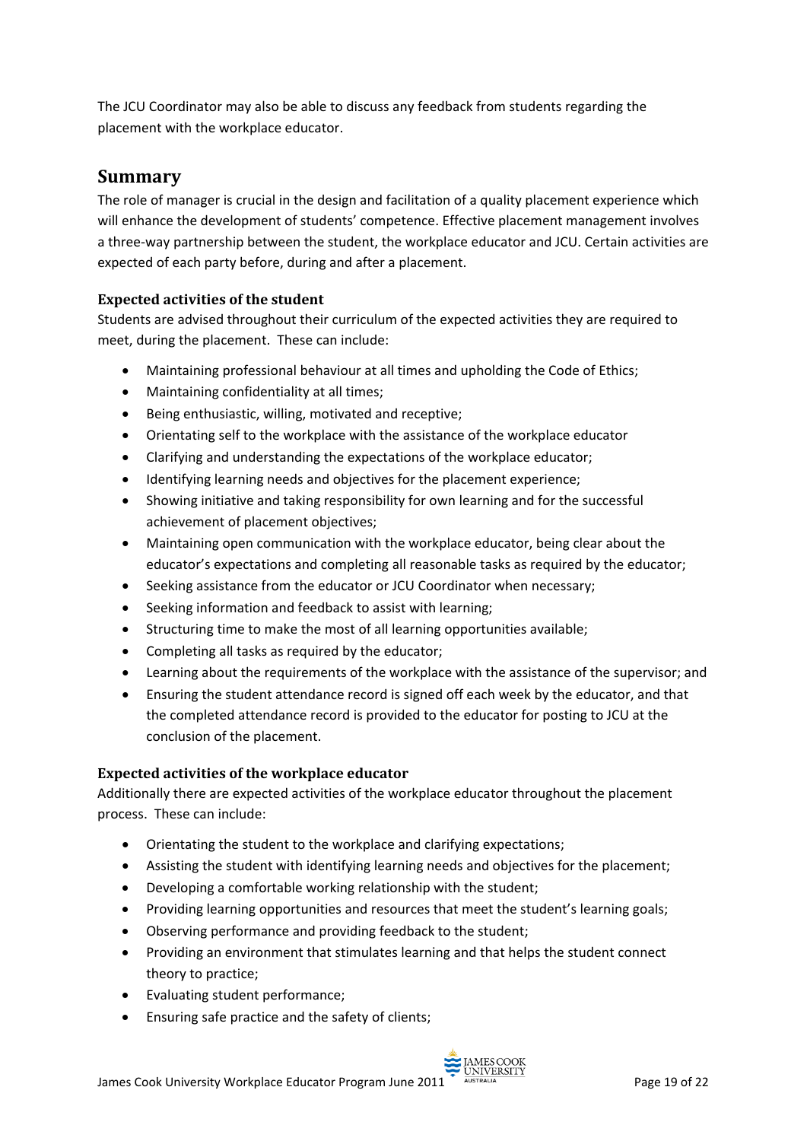The JCU Coordinator may also be able to discuss any feedback from students regarding the placement with the workplace educator.

### **Summary**

The role of manager is crucial in the design and facilitation of a quality placement experience which will enhance the development of students' competence. Effective placement management involves a three-way partnership between the student, the workplace educator and JCU. Certain activities are expected of each party before, during and after a placement.

### **Expected activities of the student**

Students are advised throughout their curriculum of the expected activities they are required to meet, during the placement. These can include:

- Maintaining professional behaviour at all times and upholding the Code of Ethics;
- Maintaining confidentiality at all times;
- Being enthusiastic, willing, motivated and receptive;
- Orientating self to the workplace with the assistance of the workplace educator
- Clarifying and understanding the expectations of the workplace educator;
- Identifying learning needs and objectives for the placement experience;
- Showing initiative and taking responsibility for own learning and for the successful achievement of placement objectives;
- Maintaining open communication with the workplace educator, being clear about the educator's expectations and completing all reasonable tasks as required by the educator;
- Seeking assistance from the educator or JCU Coordinator when necessary;
- Seeking information and feedback to assist with learning;
- Structuring time to make the most of all learning opportunities available;
- Completing all tasks as required by the educator;
- Learning about the requirements of the workplace with the assistance of the supervisor; and
- Ensuring the student attendance record is signed off each week by the educator, and that the completed attendance record is provided to the educator for posting to JCU at the conclusion of the placement.

### **Expected activities of the workplace educator**

Additionally there are expected activities of the workplace educator throughout the placement process. These can include:

- Orientating the student to the workplace and clarifying expectations;
- Assisting the student with identifying learning needs and objectives for the placement;
- Developing a comfortable working relationship with the student;
- Providing learning opportunities and resources that meet the student's learning goals;
- Observing performance and providing feedback to the student;
- Providing an environment that stimulates learning and that helps the student connect theory to practice;
- Evaluating student performance;
- Ensuring safe practice and the safety of clients;

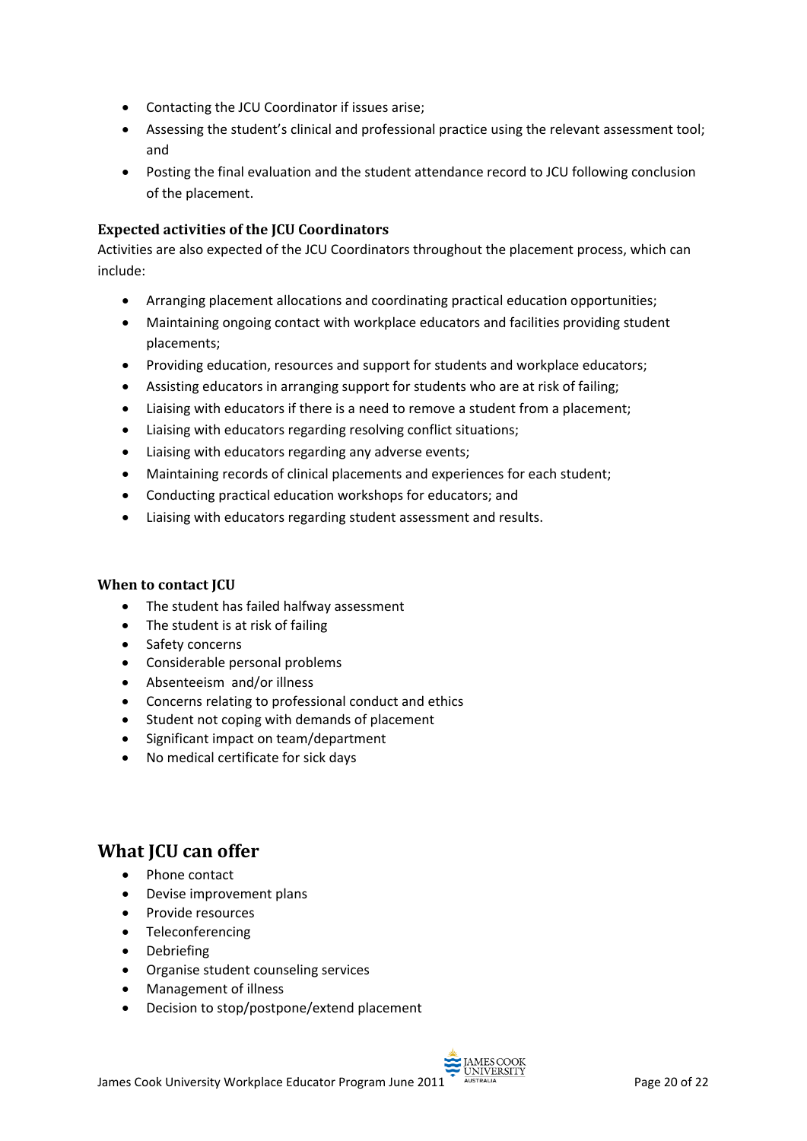- Contacting the JCU Coordinator if issues arise;
- Assessing the student's clinical and professional practice using the relevant assessment tool; and
- Posting the final evaluation and the student attendance record to JCU following conclusion of the placement.

### **Expected activities of the JCU Coordinators**

Activities are also expected of the JCU Coordinators throughout the placement process, which can include:

- Arranging placement allocations and coordinating practical education opportunities;
- Maintaining ongoing contact with workplace educators and facilities providing student placements;
- Providing education, resources and support for students and workplace educators;
- Assisting educators in arranging support for students who are at risk of failing;
- Liaising with educators if there is a need to remove a student from a placement;
- Liaising with educators regarding resolving conflict situations;
- Liaising with educators regarding any adverse events;
- Maintaining records of clinical placements and experiences for each student;
- Conducting practical education workshops for educators; and
- Liaising with educators regarding student assessment and results.

### **When to contact JCU**

- The student has failed halfway assessment
- The student is at risk of failing
- Safety concerns
- Considerable personal problems
- Absenteeism and/or illness
- Concerns relating to professional conduct and ethics
- Student not coping with demands of placement
- Significant impact on team/department
- No medical certificate for sick days

### **What JCU can offer**

- Phone contact
- Devise improvement plans
- Provide resources
- Teleconferencing
- Debriefing
- Organise student counseling services
- Management of illness
- Decision to stop/postpone/extend placement

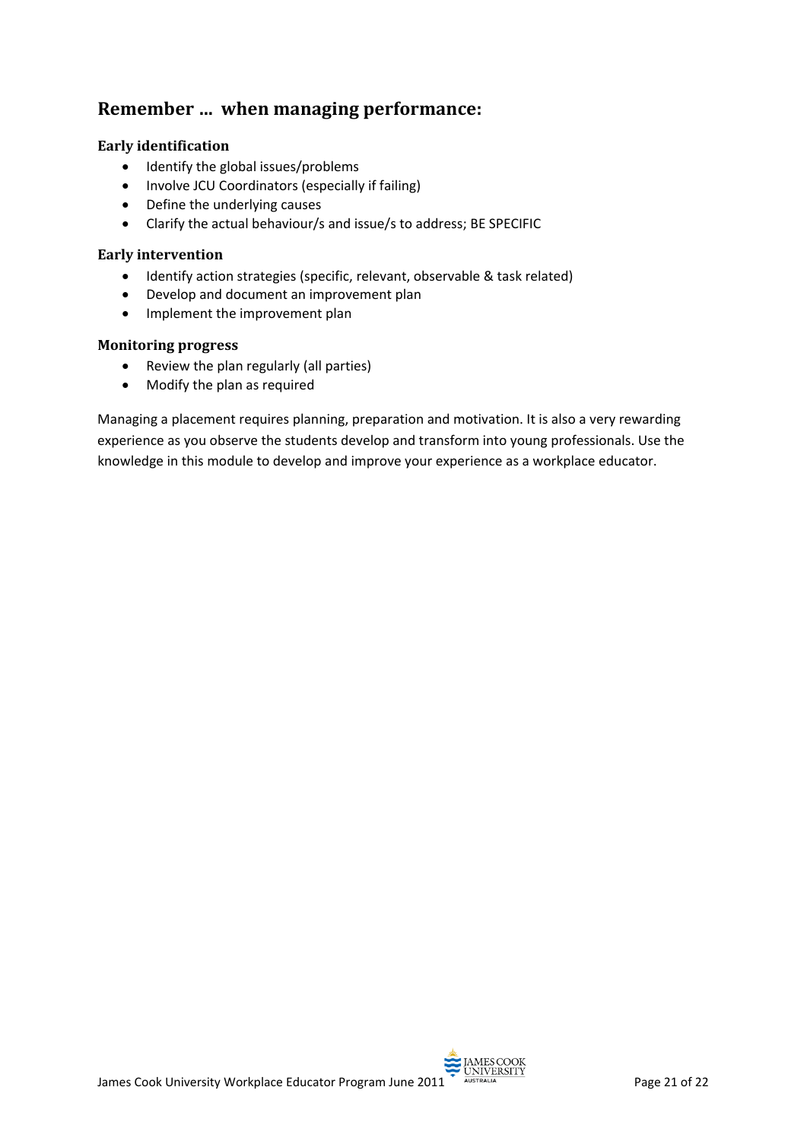# **Remember … when managing performance:**

### **Early identification**

- Identify the global issues/problems
- Involve JCU Coordinators (especially if failing)
- Define the underlying causes
- Clarify the actual behaviour/s and issue/s to address; BE SPECIFIC

### **Early intervention**

- Identify action strategies (specific, relevant, observable & task related)
- Develop and document an improvement plan
- Implement the improvement plan

### **Monitoring progress**

- Review the plan regularly (all parties)
- Modify the plan as required

Managing a placement requires planning, preparation and motivation. It is also a very rewarding experience as you observe the students develop and transform into young professionals. Use the knowledge in this module to develop and improve your experience as a workplace educator.